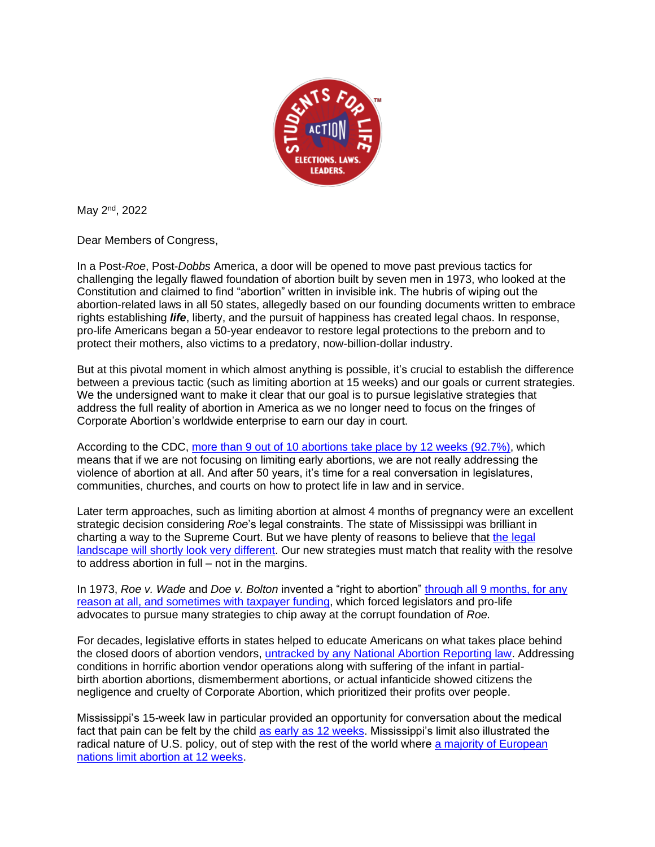

May 2<sup>nd</sup>, 2022

Dear Members of Congress,

In a Post-*Roe*, Post-*Dobbs* America, a door will be opened to move past previous tactics for challenging the legally flawed foundation of abortion built by seven men in 1973, who looked at the Constitution and claimed to find "abortion" written in invisible ink. The hubris of wiping out the abortion-related laws in all 50 states, allegedly based on our founding documents written to embrace rights establishing *life*, liberty, and the pursuit of happiness has created legal chaos. In response, pro-life Americans began a 50-year endeavor to restore legal protections to the preborn and to protect their mothers, also victims to a predatory, now-billion-dollar industry.

But at this pivotal moment in which almost anything is possible, it's crucial to establish the difference between a previous tactic (such as limiting abortion at 15 weeks) and our goals or current strategies. We the undersigned want to make it clear that our goal is to pursue legislative strategies that address the full reality of abortion in America as we no longer need to focus on the fringes of Corporate Abortion's worldwide enterprise to earn our day in court.

According to the CDC, [more than 9 out of 10 abortions take place by 12 weeks \(92.7%\),](https://www.cdc.gov/reproductivehealth/data_stats/abortion.htm) which means that if we are not focusing on limiting early abortions, we are not really addressing the violence of abortion at all. And after 50 years, it's time for a real conversation in legislatures, communities, churches, and courts on how to protect life in law and in service.

Later term approaches, such as limiting abortion at almost 4 months of pregnancy were an excellent strategic decision considering *Roe*'s legal constraints. The state of Mississippi was brilliant in charting a way to the Supreme Court. But we have plenty of reasons to believe that the legal [landscape will shortly look very different.](https://www.foxnews.com/opinion/america-world-roe) Our new strategies must match that reality with the resolve to address abortion in full – not in the margins.

In 1973, *Roe v. Wade* and *Doe v. Bolton* invented a "right to abortion" [through all 9 months, for any](https://www.usatoday.com/story/opinion/2016/10/27/abortion-late-term-legal-donald-trump-column/92778238/)  [reason at all, and sometimes with taxpayer funding,](https://www.usatoday.com/story/opinion/2016/10/27/abortion-late-term-legal-donald-trump-column/92778238/) which forced legislators and pro-life advocates to pursue many strategies to chip away at the corrupt foundation of *Roe.*

For decades, legislative efforts in states helped to educate Americans on what takes place behind the closed doors of abortion vendors, [untracked by any National Abortion Reporting law.](https://www.realclearpolitics.com/articles/2018/08/04/why_full_reporting_of_abortion_safety_data_is_needed_137719.html) Addressing conditions in horrific abortion vendor operations along with suffering of the infant in partialbirth abortion abortions, dismemberment abortions, or actual infanticide showed citizens the negligence and cruelty of Corporate Abortion, which prioritized their profits over people.

Mississippi's 15-week law in particular provided an opportunity for conversation about the medical fact that pain can be felt by the child [as early as 12 weeks.](https://jme.bmj.com/content/46/1/3) Mississippi's limit also illustrated the radical nature of U.S. policy, out of step with the rest of the world where [a majority of European](https://lozierinstitute.org/new-study-mississippis-15-week-limit-on-abortion-in-the-mainstream-of-european-law/)  [nations limit abortion at 12 weeks.](https://lozierinstitute.org/new-study-mississippis-15-week-limit-on-abortion-in-the-mainstream-of-european-law/)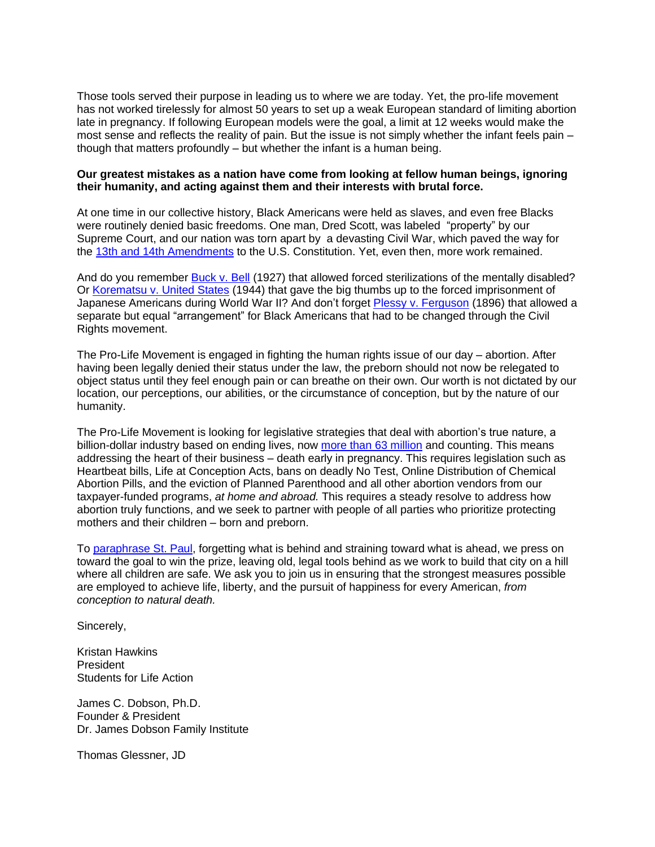Those tools served their purpose in leading us to where we are today. Yet, the pro-life movement has not worked tirelessly for almost 50 years to set up a weak European standard of limiting abortion late in pregnancy. If following European models were the goal, a limit at 12 weeks would make the most sense and reflects the reality of pain. But the issue is not simply whether the infant feels pain – though that matters profoundly – but whether the infant is a human being.

## **Our greatest mistakes as a nation have come from looking at fellow human beings, ignoring their humanity, and acting against them and their interests with brutal force.**

At one time in our collective history, Black Americans were held as slaves, and even free Blacks were routinely denied basic freedoms. One man, Dred Scott, was labeled "property" by our Supreme Court, and our nation was torn apart by a devasting Civil War, which paved the way for the [13th and 14th](https://money.howstuffworks.com/10-overturned-supreme-court-cases.htm#pt9) Amendments to the U.S. Constitution. Yet, even then, more work remained.

And do you remember [Buck v. Bell](https://caselaw.findlaw.com/us-supreme-court/274/200.html) (1927) that allowed forced sterilizations of the mentally disabled? Or [Korematsu v. United States](https://caselaw.findlaw.com/us-supreme-court/323/214.html) (1944) that gave the big thumbs up to the forced imprisonment of Japanese Americans during World War II? And don't forget [Plessy v. Ferguson](https://caselaw.findlaw.com/us-supreme-court/163/537.html) (1896) that allowed a separate but equal "arrangement" for Black Americans that had to be changed through the Civil Rights movement.

The Pro-Life Movement is engaged in fighting the human rights issue of our day – abortion. After having been legally denied their status under the law, the preborn should not now be relegated to object status until they feel enough pain or can breathe on their own. Our worth is not dictated by our location, our perceptions, our abilities, or the circumstance of conception, but by the nature of our humanity.

The Pro-Life Movement is looking for legislative strategies that deal with abortion's true nature, a billion-dollar industry based on ending lives, now [more than 63 million](https://www.nationalrighttolifenews.org/2022/01/factsheet-reported-annual-abortions-1973-2019/) and counting. This means addressing the heart of their business – death early in pregnancy. This requires legislation such as Heartbeat bills, Life at Conception Acts, bans on deadly No Test, Online Distribution of Chemical Abortion Pills, and the eviction of Planned Parenthood and all other abortion vendors from our taxpayer-funded programs, *at home and abroad.* This requires a steady resolve to address how abortion truly functions, and we seek to partner with people of all parties who prioritize protecting mothers and their children – born and preborn.

To [paraphrase St. Paul,](https://www.biblegateway.com/passage/?search=Philippians%203%3A13-14&version=NIV) forgetting what is behind and straining toward what is ahead, we press on toward the goal to win the prize, leaving old, legal tools behind as we work to build that city on a hill where all children are safe. We ask you to join us in ensuring that the strongest measures possible are employed to achieve life, liberty, and the pursuit of happiness for every American, *from conception to natural death.*

Sincerely,

Kristan Hawkins President Students for Life Action

James C. Dobson, Ph.D. Founder & President Dr. James Dobson Family Institute

Thomas Glessner, JD